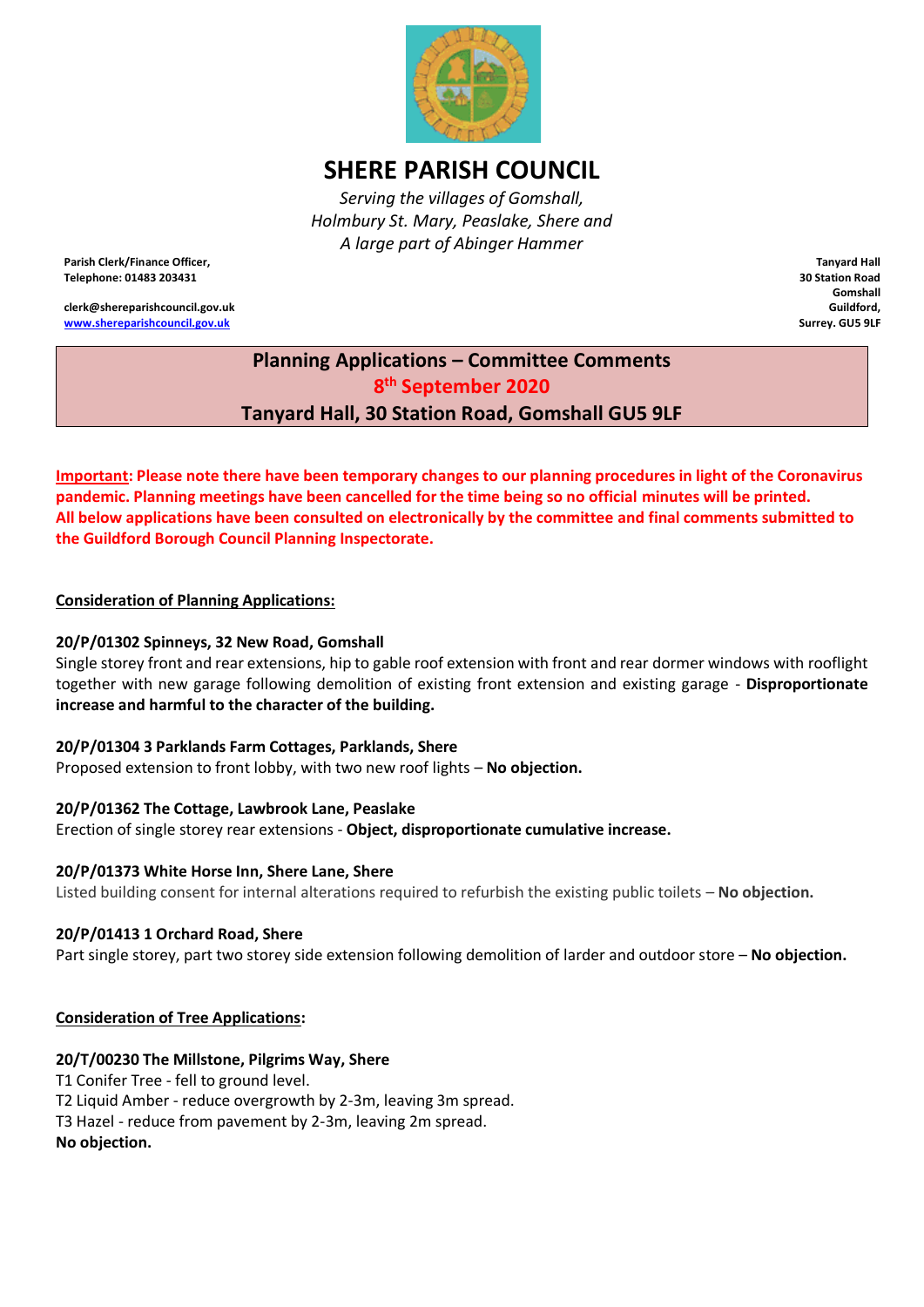

# **SHERE PARISH COUNCIL**

*Serving the villages of Gomshall, Holmbury St. Mary, Peaslake, Shere and A large part of Abinger Hammer*

**Parish Clerk/Finance Officer, Telephone: 01483 203431**

**clerk@shereparishcouncil.gov.uk [www.shereparishcouncil.gov.uk](http://www.shereparishcouncil.gov.uk/)**

**Tanyard Hall 30 Station Road Gomshall Guildford, Surrey. GU5 9LF**

# **Planning Applications – Committee Comments 8 th September 2020 Tanyard Hall, 30 Station Road, Gomshall GU5 9LF**

**Important: Please note there have been temporary changes to our planning procedures in light of the Coronavirus pandemic. Planning meetings have been cancelled for the time being so no official minutes will be printed. All below applications have been consulted on electronically by the committee and final comments submitted to the Guildford Borough Council Planning Inspectorate.** 

**Consideration of Planning Applications:**

### **20/P/01302 Spinneys, 32 New Road, Gomshall**

Single storey front and rear extensions, hip to gable roof extension with front and rear dormer windows with rooflight together with new garage following demolition of existing front extension and existing garage - **Disproportionate increase and harmful to the character of the building.**

#### **20/P/01304 3 Parklands Farm Cottages, Parklands, Shere**

Proposed extension to front lobby, with two new roof lights – **No objection.**

#### **20/P/01362 The Cottage, Lawbrook Lane, Peaslake**

Erection of single storey rear extensions - **Object, disproportionate cumulative increase.**

#### **20/P/01373 White Horse Inn, Shere Lane, Shere**

Listed building consent for internal alterations required to refurbish the existing public toilets – **No objection.**

# **20/P/01413 1 Orchard Road, Shere**

Part single storey, part two storey side extension following demolition of larder and outdoor store – **No objection.**

# **Consideration of Tree Applications:**

# **20/T/00230 The Millstone, Pilgrims Way, Shere**

T1 Conifer Tree - fell to ground level. T2 Liquid Amber - reduce overgrowth by 2-3m, leaving 3m spread. T3 Hazel - reduce from pavement by 2-3m, leaving 2m spread. **No objection.**